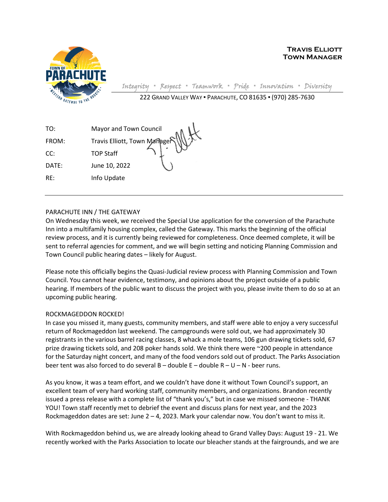

**Travis Elliott Town Manager**

Integrity **▪** Respect **▪** Teamwork **▪** Pride **▪** Innovation **▪** Diversity 222 GRAND VALLEY WAY ▪ PARACHUTE, CO 81635 ▪ (970) 285-7630

| TO:   | Mayor and Town Council       |  |
|-------|------------------------------|--|
| FROM: | Travis Elliott, Town Managen |  |
| CC:   | <b>TOP Staff</b>             |  |
| DATE: | June 10. 2022                |  |

PARACHUTE INN / THE GATEWAY

RE: Info Update

On Wednesday this week, we received the Special Use application for the conversion of the Parachute Inn into a multifamily housing complex, called the Gateway. This marks the beginning of the official review process, and it is currently being reviewed for completeness. Once deemed complete, it will be sent to referral agencies for comment, and we will begin setting and noticing Planning Commission and Town Council public hearing dates – likely for August.

Please note this officially begins the Quasi-Judicial review process with Planning Commission and Town Council. You cannot hear evidence, testimony, and opinions about the project outside of a public hearing. If members of the public want to discuss the project with you, please invite them to do so at an upcoming public hearing.

## ROCKMAGEDDON ROCKED!

In case you missed it, many guests, community members, and staff were able to enjoy a very successful return of Rockmageddon last weekend. The campgrounds were sold out, we had approximately 30 registrants in the various barrel racing classes, 8 whack a mole teams, 106 gun drawing tickets sold, 67 prize drawing tickets sold, and 208 poker hands sold. We think there were ~200 people in attendance for the Saturday night concert, and many of the food vendors sold out of product. The Parks Association beer tent was also forced to do several  $B -$  double  $E -$  double  $R - U - N$  - beer runs.

As you know, it was a team effort, and we couldn't have done it without Town Council's support, an excellent team of very hard working staff, community members, and organizations. Brandon recently issued a press release with a complete list of "thank you's," but in case we missed someone - THANK YOU! Town staff recently met to debrief the event and discuss plans for next year, and the 2023 Rockmageddon dates are set: June  $2 - 4$ , 2023. Mark your calendar now. You don't want to miss it.

With Rockmageddon behind us, we are already looking ahead to Grand Valley Days: August 19 - 21. We recently worked with the Parks Association to locate our bleacher stands at the fairgrounds, and we are